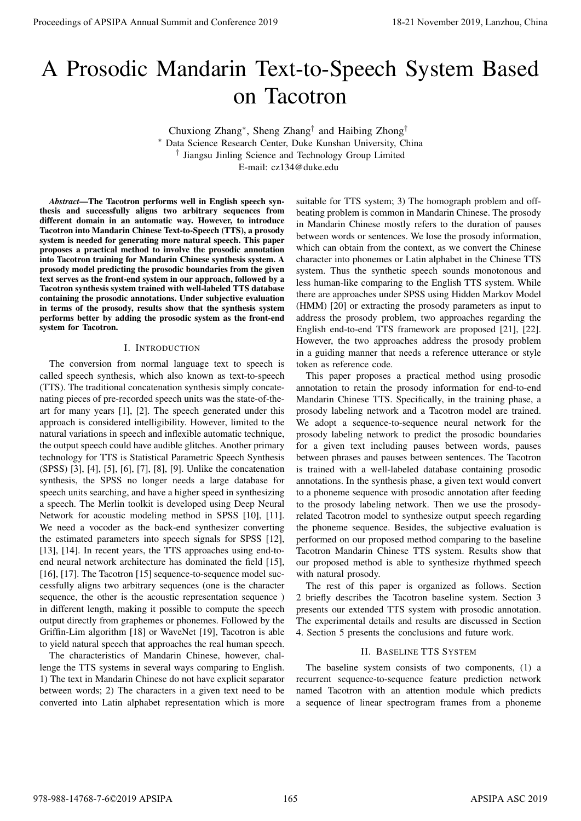# A Prosodic Mandarin Text-to-Speech System Based on Tacotron

Chuxiong Zhang<sup>∗</sup> , Sheng Zhang† and Haibing Zhong† Data Science Research Center, Duke Kunshan University, China † Jiangsu Jinling Science and Technology Group Limited E-mail: cz134@duke.edu

*Abstract*—The Tacotron performs well in English speech synthesis and successfully aligns two arbitrary sequences from different domain in an automatic way. However, to introduce Tacotron into Mandarin Chinese Text-to-Speech (TTS), a prosody system is needed for generating more natural speech. This paper proposes a practical method to involve the prosodic annotation into Tacotron training for Mandarin Chinese synthesis system. A prosody model predicting the prosodic boundaries from the given text serves as the front-end system in our approach, followed by a Tacotron synthesis system trained with well-labeled TTS database containing the prosodic annotations. Under subjective evaluation in terms of the prosody, results show that the synthesis system performs better by adding the prosodic system as the front-end system for Tacotron.

#### I. INTRODUCTION

The conversion from normal language text to speech is called speech synthesis, which also known as text-to-speech (TTS). The traditional concatenation synthesis simply concatenating pieces of pre-recorded speech units was the state-of-theart for many years [1], [2]. The speech generated under this approach is considered intelligibility. However, limited to the natural variations in speech and inflexible automatic technique, the output speech could have audible glitches. Another primary technology for TTS is Statistical Parametric Speech Synthesis (SPSS) [3], [4], [5], [6], [7], [8], [9]. Unlike the concatenation synthesis, the SPSS no longer needs a large database for speech units searching, and have a higher speed in synthesizing a speech. The Merlin toolkit is developed using Deep Neural Network for acoustic modeling method in SPSS [10], [11]. We need a vocoder as the back-end synthesizer converting the estimated parameters into speech signals for SPSS [12], [13], [14]. In recent years, the TTS approaches using end-toend neural network architecture has dominated the field [15], [16], [17]. The Tacotron [15] sequence-to-sequence model successfully aligns two arbitrary sequences (one is the character sequence, the other is the acoustic representation sequence ) in different length, making it possible to compute the speech output directly from graphemes or phonemes. Followed by the Griffin-Lim algorithm [18] or WaveNet [19], Tacotron is able to yield natural speech that approaches the real human speech. **Proceedings of APSIPA Annual Summit and Conference 2019**<br> **A Proceeding of APSIPA Annual Summit and Conference 2019**<br> **Conference 2019**<br> **Conference 2019**<br> **Conference 2019**<br> **Conference 2019**<br> **Conference 2019**<br> **Conf** 

The characteristics of Mandarin Chinese, however, challenge the TTS systems in several ways comparing to English. 1) The text in Mandarin Chinese do not have explicit separator between words; 2) The characters in a given text need to be converted into Latin alphabet representation which is more

suitable for TTS system; 3) The homograph problem and offbeating problem is common in Mandarin Chinese. The prosody in Mandarin Chinese mostly refers to the duration of pauses between words or sentences. We lose the prosody information, which can obtain from the context, as we convert the Chinese character into phonemes or Latin alphabet in the Chinese TTS system. Thus the synthetic speech sounds monotonous and less human-like comparing to the English TTS system. While there are approaches under SPSS using Hidden Markov Model (HMM) [20] or extracting the prosody parameters as input to address the prosody problem, two approaches regarding the English end-to-end TTS framework are proposed [21], [22]. However, the two approaches address the prosody problem in a guiding manner that needs a reference utterance or style token as reference code.

This paper proposes a practical method using prosodic annotation to retain the prosody information for end-to-end Mandarin Chinese TTS. Specifically, in the training phase, a prosody labeling network and a Tacotron model are trained. We adopt a sequence-to-sequence neural network for the prosody labeling network to predict the prosodic boundaries for a given text including pauses between words, pauses between phrases and pauses between sentences. The Tacotron is trained with a well-labeled database containing prosodic annotations. In the synthesis phase, a given text would convert to a phoneme sequence with prosodic annotation after feeding to the prosody labeling network. Then we use the prosodyrelated Tacotron model to synthesize output speech regarding the phoneme sequence. Besides, the subjective evaluation is performed on our proposed method comparing to the baseline Tacotron Mandarin Chinese TTS system. Results show that our proposed method is able to synthesize rhythmed speech with natural prosody.

The rest of this paper is organized as follows. Section 2 briefly describes the Tacotron baseline system. Section 3 presents our extended TTS system with prosodic annotation. The experimental details and results are discussed in Section 4. Section 5 presents the conclusions and future work.

#### II. BASELINE TTS SYSTEM

The baseline system consists of two components, (1) a recurrent sequence-to-sequence feature prediction network named Tacotron with an attention module which predicts a sequence of linear spectrogram frames from a phoneme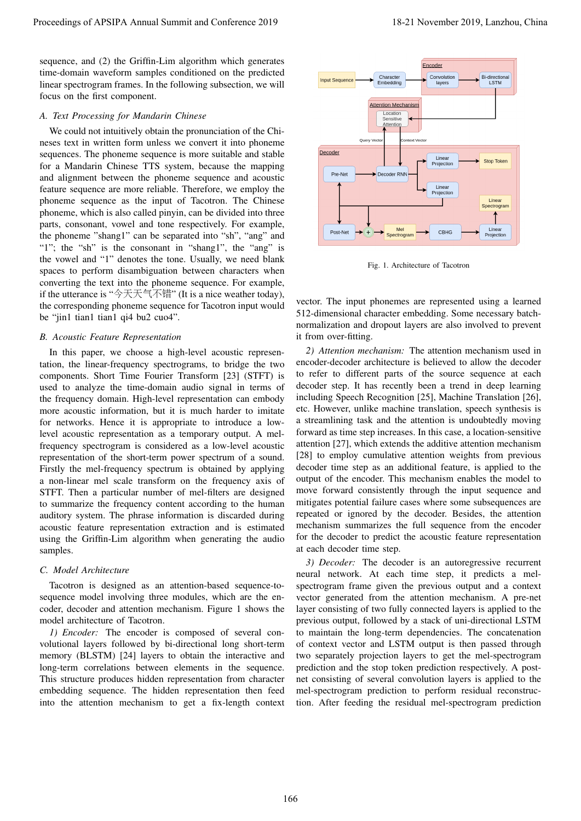sequence, and (2) the Griffin-Lim algorithm which generates time-domain waveform samples conditioned on the predicted linear spectrogram frames. In the following subsection, we will focus on the first component.

#### *A. Text Processing for Mandarin Chinese*

We could not intuitively obtain the pronunciation of the Chineses text in written form unless we convert it into phoneme sequences. The phoneme sequence is more suitable and stable for a Mandarin Chinese TTS system, because the mapping and alignment between the phoneme sequence and acoustic feature sequence are more reliable. Therefore, we employ the phoneme sequence as the input of Tacotron. The Chinese phoneme, which is also called pinyin, can be divided into three parts, consonant, vowel and tone respectively. For example, the phoneme "shang1" can be separated into "sh", "ang" and "1"; the "sh" is the consonant in "shang1", the "ang" is the vowel and "1" denotes the tone. Usually, we need blank spaces to perform disambiguation between characters when converting the text into the phoneme sequence. For example, if the utterance is "今天天气不错" (It is a nice weather today), the corresponding phoneme sequence for Tacotron input would be "jin1 tian1 tian1 qi4 bu2 cuo4".

#### *B. Acoustic Feature Representation*

In this paper, we choose a high-level acoustic representation, the linear-frequency spectrograms, to bridge the two components. Short Time Fourier Transform [23] (STFT) is used to analyze the time-domain audio signal in terms of the frequency domain. High-level representation can embody more acoustic information, but it is much harder to imitate for networks. Hence it is appropriate to introduce a lowlevel acoustic representation as a temporary output. A melfrequency spectrogram is considered as a low-level acoustic representation of the short-term power spectrum of a sound. Firstly the mel-frequency spectrum is obtained by applying a non-linear mel scale transform on the frequency axis of STFT. Then a particular number of mel-filters are designed to summarize the frequency content according to the human auditory system. The phrase information is discarded during acoustic feature representation extraction and is estimated using the Griffin-Lim algorithm when generating the audio samples. Proceedings of APSIPA Annual Summit and Conference 2019<br>
superce and Conference 2013 Units (Conference 2018)<br>
The demand of Application of Application of Application of Application of Application of Application of Applica

## *C. Model Architecture*

Tacotron is designed as an attention-based sequence-tosequence model involving three modules, which are the encoder, decoder and attention mechanism. Figure 1 shows the model architecture of Tacotron.

*1) Encoder:* The encoder is composed of several convolutional layers followed by bi-directional long short-term memory (BLSTM) [24] layers to obtain the interactive and long-term correlations between elements in the sequence. This structure produces hidden representation from character embedding sequence. The hidden representation then feed into the attention mechanism to get a fix-length context



Fig. 1. Architecture of Tacotron

vector. The input phonemes are represented using a learned 512-dimensional character embedding. Some necessary batchnormalization and dropout layers are also involved to prevent it from over-fitting.

*2) Attention mechanism:* The attention mechanism used in encoder-decoder architecture is believed to allow the decoder to refer to different parts of the source sequence at each decoder step. It has recently been a trend in deep learning including Speech Recognition [25], Machine Translation [26], etc. However, unlike machine translation, speech synthesis is a streamlining task and the attention is undoubtedly moving forward as time step increases. In this case, a location-sensitive attention [27], which extends the additive attention mechanism [28] to employ cumulative attention weights from previous decoder time step as an additional feature, is applied to the output of the encoder. This mechanism enables the model to move forward consistently through the input sequence and mitigates potential failure cases where some subsequences are repeated or ignored by the decoder. Besides, the attention mechanism summarizes the full sequence from the encoder for the decoder to predict the acoustic feature representation at each decoder time step.

*3) Decoder:* The decoder is an autoregressive recurrent neural network. At each time step, it predicts a melspectrogram frame given the previous output and a context vector generated from the attention mechanism. A pre-net layer consisting of two fully connected layers is applied to the previous output, followed by a stack of uni-directional LSTM to maintain the long-term dependencies. The concatenation of context vector and LSTM output is then passed through two separately projection layers to get the mel-spectrogram prediction and the stop token prediction respectively. A postnet consisting of several convolution layers is applied to the mel-spectrogram prediction to perform residual reconstruction. After feeding the residual mel-spectrogram prediction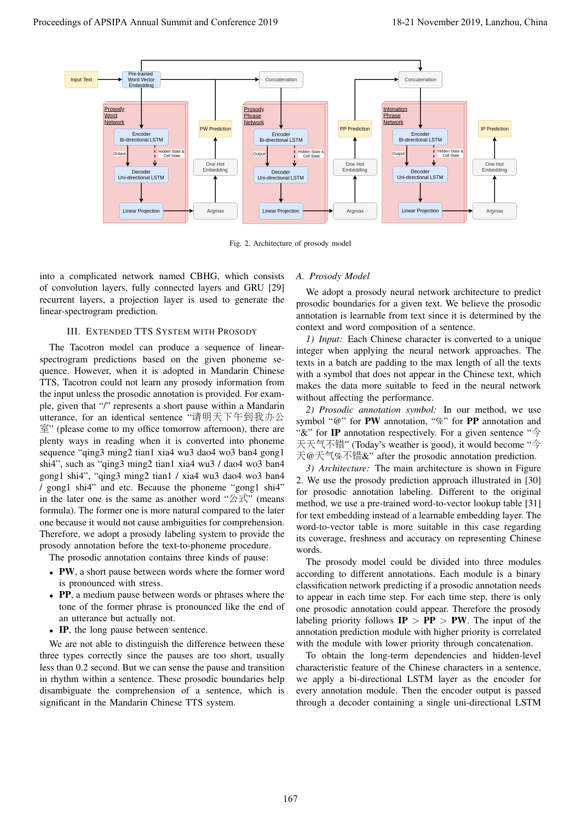

Fig. 2. Architecture of prosody model

into a complicated network named CBHG, which consists of convolution layers, fully connected layers and GRU [29] recurrent layers, a projection layer is used to generate the linear-spectrogram prediction.

#### III. EXTENDED TTS SYSTEM WITH PROSODY

The Tacotron model can produce a sequence of linearspectrogram predictions based on the given phoneme sequence. However, when it is adopted in Mandarin Chinese TTS, Tacotron could not learn any prosody information from the input unless the prosodic annotation is provided. For example, given that "/" represents a short pause within a Mandarin utterance, for an identical sentence "请明天下午到我办<sup>公</sup> 室" (please come to my office tomorrow afternoon), there are plenty ways in reading when it is converted into phoneme sequence "qing3 ming2 tian1 xia4 wu3 dao4 wo3 ban4 gong1 shi4", such as "qing3 ming2 tian1 xia4 wu3 / dao4 wo3 ban4 gong1 shi4", "qing3 ming2 tian1 / xia4 wu3 dao4 wo3 ban4 / gong1 shi4" and etc. Because the phoneme "gong1 shi4" in the later one is the same as another word " $\triangle \vec{x}$ " (means formula). The former one is more natural compared to the later one because it would not cause ambiguities for comprehension. Therefore, we adopt a prosody labeling system to provide the prosody annotation before the text-to-phoneme procedure.

The prosodic annotation contains three kinds of pause:

- PW, a short pause between words where the former word is pronounced with stress.
- PP, a medium pause between words or phrases where the tone of the former phrase is pronounced like the end of an utterance but actually not.
- IP, the long pause between sentence.

We are not able to distinguish the difference between these three types correctly since the pauses are too short, usually less than 0.2 second. But we can sense the pause and transition in rhythm within a sentence. These prosodic boundaries help disambiguate the comprehension of a sentence, which is significant in the Mandarin Chinese TTS system.

#### *A. Prosody Model*

We adopt a prosody neural network architecture to predict prosodic boundaries for a given text. We believe the prosodic annotation is learnable from text since it is determined by the context and word composition of a sentence.

*1) Input:* Each Chinese character is converted to a unique integer when applying the neural network approaches. The texts in a batch are padding to the max length of all the texts with a symbol that does not appear in the Chinese text, which makes the data more suitable to feed in the neural network without affecting the performance.

*2) Prosodic annotation symbol:* In our method, we use symbol "@" for PW annotation, "%" for PP annotation and "&" for IP annotation respectively. For a given sentence "今 天天气不错" (Today's weather is good), it would become "<sup>今</sup> 天@天气%不错&" after the prosodic annotation prediction.

*3) Architecture:* The main architecture is shown in Figure 2. We use the prosody prediction approach illustrated in [30] for prosodic annotation labeling. Different to the original method, we use a pre-trained word-to-vector lookup table [31] for text embedding instead of a learnable embedding layer. The word-to-vector table is more suitable in this case regarding its coverage, freshness and accuracy on representing Chinese words.

The prosody model could be divided into three modules according to different annotations. Each module is a binary classification network predicting if a prosodic annotation needs to appear in each time step. For each time step, there is only one prosodic annotation could appear. Therefore the prosody labeling priority follows  $IP > PP > PW$ . The input of the annotation prediction module with higher priority is correlated with the module with lower priority through concatenation.

To obtain the long-term dependencies and hidden-level characteristic feature of the Chinese characters in a sentence, we apply a bi-directional LSTM layer as the encoder for every annotation module. Then the encoder output is passed through a decoder containing a single uni-directional LSTM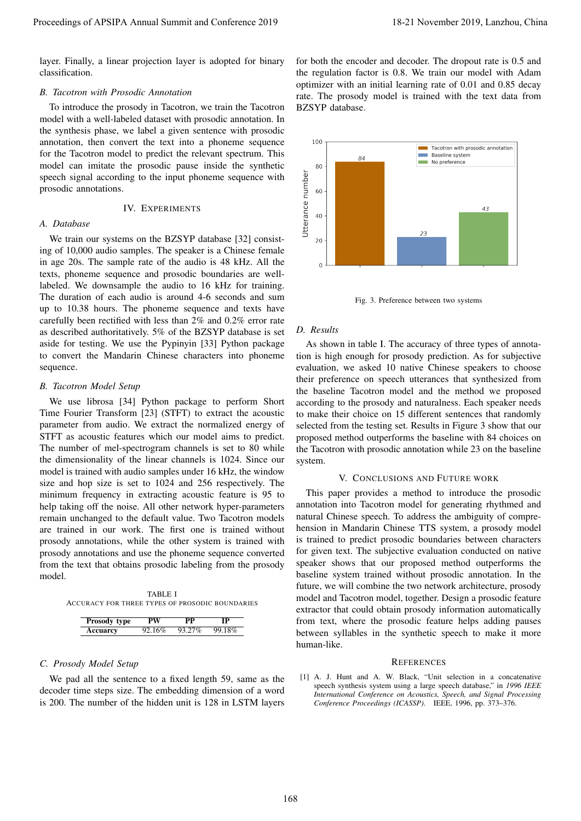layer. Finally, a linear projection layer is adopted for binary classification.

# *B. Tacotron with Prosodic Annotation*

To introduce the prosody in Tacotron, we train the Tacotron model with a well-labeled dataset with prosodic annotation. In the synthesis phase, we label a given sentence with prosodic annotation, then convert the text into a phoneme sequence for the Tacotron model to predict the relevant spectrum. This model can imitate the prosodic pause inside the synthetic speech signal according to the input phoneme sequence with prosodic annotations.

## IV. EXPERIMENTS

# *A. Database*

We train our systems on the BZSYP database [32] consisting of 10,000 audio samples. The speaker is a Chinese female in age 20s. The sample rate of the audio is 48 kHz. All the texts, phoneme sequence and prosodic boundaries are welllabeled. We downsample the audio to 16 kHz for training. The duration of each audio is around 4-6 seconds and sum up to 10.38 hours. The phoneme sequence and texts have carefully been rectified with less than 2% and 0.2% error rate as described authoritatively. 5% of the BZSYP database is set aside for testing. We use the Pypinyin [33] Python package to convert the Mandarin Chinese characters into phoneme sequence.

## *B. Tacotron Model Setup*

We use librosa [34] Python package to perform Short Time Fourier Transform [23] (STFT) to extract the acoustic parameter from audio. We extract the normalized energy of STFT as acoustic features which our model aims to predict. The number of mel-spectrogram channels is set to 80 while the dimensionality of the linear channels is 1024. Since our model is trained with audio samples under 16 kHz, the window size and hop size is set to 1024 and 256 respectively. The minimum frequency in extracting acoustic feature is 95 to help taking off the noise. All other network hyper-parameters remain unchanged to the default value. Two Tacotron models are trained in our work. The first one is trained without prosody annotations, while the other system is trained with prosody annotations and use the phoneme sequence converted from the text that obtains prosodic labeling from the prosody model. Proceedings of APSIPA Annual Summit and Conference 2019<br>
Leading Conference 2019 11 and Conference 2019<br>
detailed the conference 2019 11 and Conference 2019<br>
detailed the conference 2019 11 and Conference 2019<br>
detailed t

TABLE I ACCURACY FOR THREE TYPES OF PROSODIC BOUNDARIES

| Prosody type    | РW     | рp     |        |
|-----------------|--------|--------|--------|
| <b>Accuarcy</b> | 92.16% | 93.27% | 99.18% |

# *C. Prosody Model Setup*

We pad all the sentence to a fixed length 59, same as the decoder time steps size. The embedding dimension of a word is 200. The number of the hidden unit is 128 in LSTM layers

for both the encoder and decoder. The dropout rate is 0.5 and the regulation factor is 0.8. We train our model with Adam optimizer with an initial learning rate of 0.01 and 0.85 decay rate. The prosody model is trained with the text data from BZSYP database.



Fig. 3. Preference between two systems

# *D. Results*

As shown in table I. The accuracy of three types of annotation is high enough for prosody prediction. As for subjective evaluation, we asked 10 native Chinese speakers to choose their preference on speech utterances that synthesized from the baseline Tacotron model and the method we proposed according to the prosody and naturalness. Each speaker needs to make their choice on 15 different sentences that randomly selected from the testing set. Results in Figure 3 show that our proposed method outperforms the baseline with 84 choices on the Tacotron with prosodic annotation while 23 on the baseline system.

# V. CONCLUSIONS AND FUTURE WORK

This paper provides a method to introduce the prosodic annotation into Tacotron model for generating rhythmed and natural Chinese speech. To address the ambiguity of comprehension in Mandarin Chinese TTS system, a prosody model is trained to predict prosodic boundaries between characters for given text. The subjective evaluation conducted on native speaker shows that our proposed method outperforms the baseline system trained without prosodic annotation. In the future, we will combine the two network architecture, prosody model and Tacotron model, together. Design a prosodic feature extractor that could obtain prosody information automatically from text, where the prosodic feature helps adding pauses between syllables in the synthetic speech to make it more human-like.

#### **REFERENCES**

[1] A. J. Hunt and A. W. Black, "Unit selection in a concatenative speech synthesis system using a large speech database," in *1996 IEEE International Conference on Acoustics, Speech, and Signal Processing Conference Proceedings (ICASSP)*. IEEE, 1996, pp. 373–376.